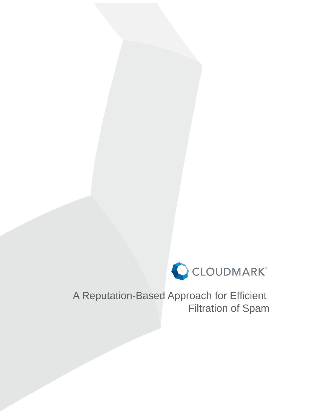

A Reputation-Based Approach for Efficient Filtration of Spam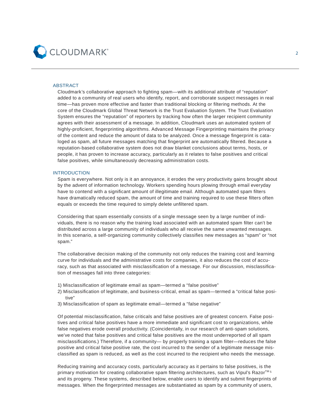

# ABSTRACT

Cloudmark's collaborative approach to fighting spam—with its additional attribute of "reputation" added to a community of real users who identify, report, and corroborate suspect messages in real time—has proven more effective and faster than traditional blocking or filtering methods. At the core of the Cloudmark Global Threat Network is the Trust Evaluation System. The Trust Evaluation System ensures the "reputation" of reporters by tracking how often the larger recipient community agrees with their assessment of a message. In addition, Cloudmark uses an automated system of highly-proficient, fingerprinting algorithms. Advanced Message Fingerprinting maintains the privacy of the content and reduce the amount of data to be analyzed. Once a message fingerprint is cataloged as spam, all future messages matching that fingerprint are automatically filtered. Because a reputation-based collaborative system does not draw blanket conclusions about terms, hosts, or people, it has proven to increase accuracy, particularly as it relates to false positives and critical false positives, while simultaneously decreasing administration costs.

## INTRODUCTION

Spam is everywhere. Not only is it an annoyance, it erodes the very productivity gains brought about by the advent of information technology. Workers spending hours plowing through email everyday have to contend with a significant amount of illegitimate email. Although automated spam filters have dramatically reduced spam, the amount of time and training required to use these filters often equals or exceeds the time required to simply delete unfiltered spam.

Considering that spam essentially consists of a single message seen by a large number of individuals, there is no reason why the training load associated with an automated spam filter can't be distributed across a large community of individuals who all receive the same unwanted messages. In this scenario, a self-organizing community collectively classifies new messages as "spam" or "not spam."

The collaborative decision making of the community not only reduces the training cost and learning curve for individuals and the administrative costs for companies, it also reduces the cost of accuracy, such as that associated with misclassification of a message. For our discussion, misclassification of messages fall into three categories:

- 1) Misclassification of legitimate email as spam—termed a "false positive"
- 2) Misclassification of legitimate, and business-critical, email as spam—termed a "critical false positive"
- 3) Misclassification of spam as legitimate email—termed a "false negative"

Of potential misclassification, false criticals and false positives are of greatest concern. False positives and critical false positives have a more immediate and significant cost to organizations, while false negatives erode overall productivity. (Coincidentally, in our research of anti-spam solutions, we've noted that false positives and critical false positives are the most underreported of all spam misclassifications.) Therefore, if a community— by properly training a spam filter—reduces the false positive and critical false positive rate, the cost incurred to the sender of a legitimate message misclassified as spam is reduced, as well as the cost incurred to the recipient who needs the message.

Reducing training and accuracy costs, particularly accuracy as it pertains to false positives, is the primary motivation for creating collaborative spam filtering architectures, such as Vipul's Razor $^{TM5}$ and its progeny. These systems, described below, enable users to identify and submit fingerprints of messages. When the fingerprinted messages are substantiated as spam by a community of users,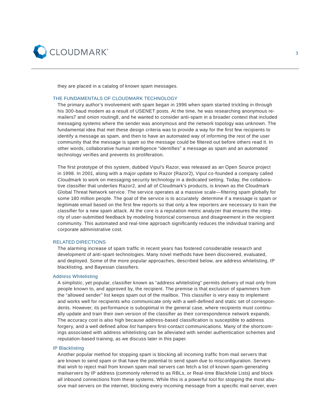

they are placed in a catalog of known spam messages.

## THE FUNDAMENTALS OF CLOUDMARK TECHNOLOGY

The primary author's involvement with spam began in 1996 when spam started trickling in through his 300-baud modem as a result of USENET posts. At the time, he was researching anonymous remailers7 and onion routing8, and he wanted to consider anti-spam in a broader context that included messaging systems where the sender was anonymous and the network topology was unknown. The fundamental idea that met these design criteria was to provide a way for the first few recipients to identify a message as spam, and then to have an automated way of informing the rest of the user community that the message is spam so the message could be filtered out before others read it. In other words, collaborative human intelligence "identifies" a message as spam and an automated technology verifies and prevents its proliferation.

The first prototype of this system, dubbed Vipul's Razor, was released as an Open Source project in 1998. In 2001, along with a major update to Razor (Razor2), Vipul co-founded a company called Cloudmark to work on messaging security technology in a dedicated setting. Today, the collaborative classifier that underlies Razor2, and all of Cloudmark's products, is known as the Cloudmark Global Threat Network service. The service operates at a massive scale—filtering spam globally for some 180 million people. The goal of the service is to accurately determine if a message is spam or legitimate email based on the first few reports so that only a few reporters are necessary to train the classifier for a new spam attack. At the core is a reputation metric analyzer that ensures the integrity of user-submitted feedback by modeling historical consensus and disagreement in the recipient community. This automated and real-time approach significantly reduces the individual training and corporate administrative cost.

# RELATED DIRECTIONS

The alarming increase of spam traffic in recent years has fostered considerable research and development of anti-spam technologies. Many novel methods have been discovered, evaluated, and deployed. Some of the more popular approaches, described below, are address whitelisting, IP blacklisting, and Bayesian classifiers.

#### Address Whitelisting

A simplistic, yet popular, classifier known as "address whitelisting" permits delivery of mail only from people known to, and approved by, the recipient. The premise is that exclusion of spammers from the "allowed sender" list keeps spam out of the mailbox. This classifier is very easy to implement and works well for recipients who communicate only with a well-defined and static set of correspondents. However, its performance is suboptimal in the general case, where recipients must continually update and train their own version of the classifier as their correspondence network expands. The accuracy cost is also high because address-based classification is susceptible to address forgery, and a well defined allow list hampers first-contact communications. Many of the shortcomings associated with address whitelisting can be alleviated with sender authentication schemes and reputation-based training, as we discuss later in this paper.

## IP Blacklisting

Another popular method for stopping spam is blocking all incoming traffic from mail servers that are known to send spam or that have the potential to send spam due to misconfiguration. Servers that wish to reject mail from known spam mail servers can fetch a list of known spam-generating mailservers by IP address (commonly referred to as RBLs, or Real-time Blackhole Lists) and block all inbound connections from these systems. While this is a powerful tool for stopping the most abusive mail servers on the internet, blocking every incoming message from a specific mail server, even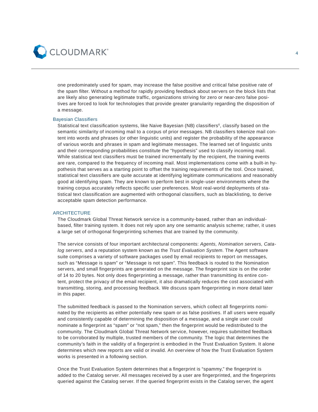

one predominately used for spam, may increase the false positive and critical false positive rate of the spam filter. Without a method for rapidly providing feedback about servers on the block lists that are likely also generating legitimate traffic, organizations striving for zero or near-zero false positives are forced to look for technologies that provide greater granularity regarding the disposition of a message.

## **Bayesian Classifiers**

Statistical text classification systems, like Naive Bayesian (NB) classifiers<sup>6</sup>, classify based on the semantic similarity of incoming mail to a corpus of prior messages. NB classifiers tokenize mail content into words and phrases (or other linguistic units) and register the probability of the appearance of various words and phrases in spam and legitimate messages. The learned set of linguistic units and their corresponding probabilities constitute the "hypothesis" used to classify incoming mail. While statistical text classifiers must be trained incrementally by the recipient, the training events are rare, compared to the frequency of incoming mail. Most implementations come with a built-in hypothesis that serves as a starting point to offset the training requirements of the tool. Once trained, statistical text classifiers are quite accurate at identifying legitimate communications and reasonably good at identifying spam. They are known to perform best in single-user environments where the training corpus accurately reflects specific user preferences. Most real-world deployments of statistical text classification are augmented with orthogonal classifiers, such as blacklisting, to derive acceptable spam detection performance.

## **ARCHITECTURE**

The Cloudmark Global Threat Network service is a community-based, rather than an individualbased, filter training system. It does not rely upon any one semantic analysis scheme; rather, it uses a large set of orthogonal fingerprinting schemes that are trained by the community.

The service consists of four important architectural components: *Agents, Nomination servers, Catalog servers*, and a reputation system known as the *Trust Evaluation System*. The Agent software suite comprises a variety of software packages used by email recipients to report on messages, such as "Message is spam" or "Message is not spam". This feedback is routed to the Nomination servers, and small fingerprints are generated on the message. The fingerprint size is on the order of 14 to 20 bytes. Not only does fingerprinting a message, rather than transmitting its entire content, protect the privacy of the email recipient, it also dramatically reduces the cost associated with transmitting, storing, and processing feedback. We discuss spam fingerprinting in more detail later in this paper.

The submitted feedback is passed to the Nomination servers, which collect all fingerprints nominated by the recipients as either potentially new spam or as false positives. If all users were equally and consistently capable of determining the disposition of a message, and a single user could nominate a fingerprint as "spam" or "not spam," then the fingerprint would be redistributed to the community. The Cloudmark Global Threat Network service, however, requires submitted feedback to be corroborated by multiple, trusted members of the community. The logic that determines the community's faith in the validity of a fingerprint is embodied in the Trust Evaluation System. It alone determines which new reports are valid or invalid. An overview of how the Trust Evaluation System works is presented in a following section.

Once the Trust Evaluation System determines that a fingerprint is "spammy," the fingerprint is added to the Catalog server. All messages received by a user are fingerprinted, and the fingerprints queried against the Catalog server. If the queried fingerprint exists in the Catalog server, the agent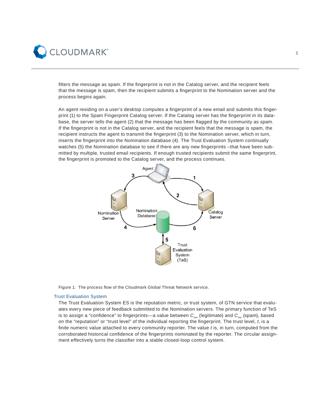

filters the message as spam. If the fingerprint is not in the Catalog server, and the recipient feels that the message is spam, then the recipient submits a fingerprint to the Nomination server and the process begins again.

An agent residing on a user's desktop computes a fingerprint of a new email and submits this fingerprint (1) to the Spam Fingerprint Catalog server. If the Catalog server has the fingerprint in its database, the server tells the agent (2) that the message has been flagged by the community as spam. If the fingerprint is not in the Catalog server, and the recipient feels that the message is spam, the recipient instructs the agent to transmit the fingerprint (3) to the Nomination server, which in turn, inserts the fingerprint into the Nomination database (4). The Trust Evaluation System continually watches (5) the Nomination database to see if there are any new fingerprints –that have been submitted by multiple, trusted email recipients. If enough trusted recipients submit the same fingerprint, the fingerprint is promoted to the Catalog server, and the process continues.



Figure 1: The process flow of the Cloudmark Global Threat Network service.

## Trust Evaluation System

The Trust Evaluation System ES is the reputation metric, or trust system, of GTN service that evaluates every new piece of feedback submitted to the Nomination servers. The primary function of TeS is to assign a "confidence" to fingerprints—a value between  $C_{mn}$  (legitimate) and  $C_{mx}$  (spam), based on the "reputation" or "trust level" of the individual reporting the fingerprint. The trust level, t, is a finite numeric value attached to every community reporter. The value *t* is, in turn, computed from the corroborated historical confidence of the fingerprints nominated by the reporter. The circular assignment effectively turns the classifier into a stable closed-loop control system.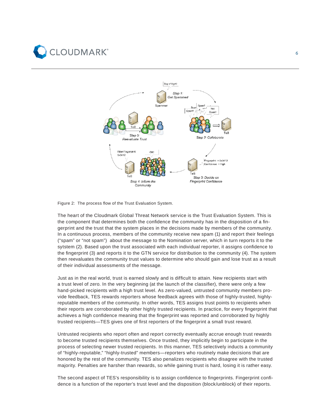



Figure 2: The process flow of the Trust Evaluation System.

The heart of the Cloudmark Global Threat Network service is the Trust Evaluation System. This is the component that determines both the confidence the community has in the disposition of a fingerprint and the trust that the system places in the decisions made by members of the community. In a continuous process, members of the community receive new spam (1) and report their feelings ("spam" or "not spam") about the message to the Nomination server, which in turn reports it to the sytstem (2). Based upon the trust associated with each individual reporter, it assigns confidence to the fingerprint (3) and reports it to the GTN service for distribution to the community (4). The system then reevaluates the community trust values to determine who should gain and lose trust as a result of their individual assessments of the message.

Just as in the real world, trust is earned slowly and is difficult to attain. New recipients start with a trust level of zero. In the very beginning (at the launch of the classifier), there were only a few hand-picked recipients with a high trust level. As zero-valued, untrusted community members provide feedback, TES rewards reporters whose feedback agrees with those of highly-trusted, highlyreputable members of the community. In other words, TES assigns trust points to recipients when their reports are corroborated by other highly trusted recipients. In practice, for every fingerprint that achieves a high confidence meaning that the fingerprint was reported and corroborated by highly trusted recipients—TES gives one of first reporters of the fingerprint a small trust reward.

Untrusted recipients who report often and report correctly eventually accrue enough trust rewards to become trusted recipients themselves. Once trusted, they implicitly begin to participate in the process of selecting newer trusted recipients. In this manner, TES selectively inducts a community of "highly-reputable," "highly-trusted" members—reporters who routinely make decisions that are honored by the rest of the community. TES also penalizes recipients who disagree with the trusted majority. Penalties are harsher than rewards, so while gaining trust is hard, losing it is rather easy.

The second aspect of TES's responsibility is to assign confidence to fingerprints. Fingerprint confidence is a function of the reporter's trust level and the disposition (block/unblock) of their reports.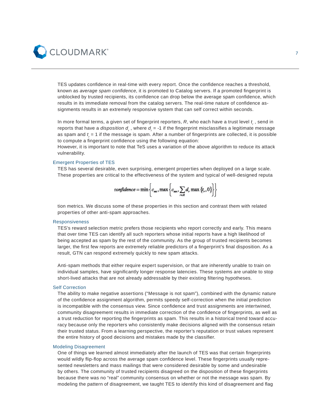

TES updates confidence in real-time with every report. Once the confidence reaches a threshold, known as *average spam confidence*, it is promoted to Catalog servers. If a promoted fingerprint is unblocked by trusted recipients, its confidence can drop below the average spam confidence, which results in its immediate removal from the catalog servers. The real-time nature of confidence assignments results in an extremely responsive system that can self correct within seconds.

In more formal terms, a given set of fingerprint reporters,  $R$ , who each have a trust level  $t_{_{\ell}}$  , send in reports that have a *disposition d<sub>r</sub>* , where *d<sub>r</sub>* = -1 if the fingerprint misclassifies a legitimate message as spam and  $t_{\scriptscriptstyle\rm F}$  = 1 if the message is spam. After a number of fingerprints are collected, it is possible to compute a fingerprint confidence using the following equation:

However, it is important to note that TeS uses a variation of the above algorithm to reduce its attack vulnerability.

# Emergent Properties of TES

TES has several desirable, even surprising, emergent properties when deployed on a large scale. These properties are critical to the effectiveness of the system and typical of well-designed reputa

$$
confidence = \min\left\{c_{\text{sw}}, \max\left\{c_{\text{sw}}, \sum_{r \in R} d_r \max\left\{t_r, 0\right\}\right\}\right\}
$$

tion metrics. We discuss some of these properties in this section and contrast them with related properties of other anti-spam approaches.

#### Responsiveness

TES's reward selection metric prefers those recipients who report correctly and early. This means that over time TES can identify all such reporters whose initial reports have a high likelihood of being accepted as spam by the rest of the community. As the group of trusted recipients becomes larger, the first few reports are extremely reliable predictors of a fingerprint's final disposition. As a result, GTN can respond extremely quickly to new spam attacks.

Anti-spam methods that either require expert supervision, or that are inherently unable to train on individual samples, have significantly longer response latencies. These systems are unable to stop short-lived attacks that are not already addressable by their existing filtering hypotheses.

## Self Correction

The ability to make negative assertions ("Message is not spam"), combined with the dynamic nature of the confidence assignment algorithm, permits speedy self-correction when the initial prediction is incompatible with the consensus view. Since confidence and trust assignments are intertwined, community disagreement results in immediate correction of the confidence of fingerprints, as well as a trust reduction for reporting the fingerprints as spam. This results in a historical trend toward accuracy because only the reporters who consistently make decisions aligned with the consensus retain their trusted status. From a learning perspective, the reporter's reputation or trust values represent the entire history of good decisions and mistakes made by the classifier.

## Modeling Disagreement

One of things we learned almost immediately after the launch of TES was that certain fingerprints would wildly flip-flop across the average spam confidence level. These fingerprints usually represented newsletters and mass mailings that were considered desirable by some and undesirable by others. The community of trusted recipients disagreed on the disposition of these fingerprints because there was no "real" community consensus on whether or not the message was spam. By modeling the pattern of disagreement, we taught TES to identify this kind of disagreement and flag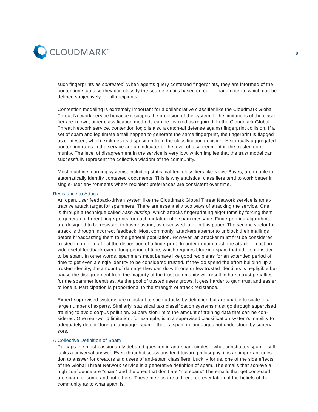

such fingerprints as *contested*. When agents query contested fingerprints, they are informed of the contention status so they can classify the source emails based on out-of-band criteria, which can be defined subjectively for all recipients.

Contention modeling is extremely important for a collaborative classifier like the Cloudmark Global Threat Network service because it scopes the precision of the system. If the limitations of the classifier are known, other classification methods can be invoked as required. In the Cloudmark Global Threat Network service, contention logic is also a catch-all defense against fingerprint collision. If a set of spam and legitimate email happen to generate the same fingerprint, the fingerprint is flagged as contested, which excludes its disposition from the classification decision. Historically aggregated contention rates in the service are an indicator of the level of disagreement in the trusted community. The level of disagreement in the service is very low, which implies that the trust model can successfully represent the collective wisdom of the community.

Most machine learning systems, including statistical text classifiers like Naive Bayes, are unable to automatically identify contested documents. This is why statistical classifiers tend to work better in single-user environments where recipient preferences are consistent over time.

## Resistance to Attack

An open, user feedback-driven system like the Cloudmark Global Threat Network service is an attractive attack target for spammers. There are essentially two ways of attacking the service. One is through a technique called *hash busting*, which attacks fingerprinting algorithms by forcing them to generate different fingerprints for each mutation of a spam message. Fingerprinting algorithms are designed to be resistant to hash busting, as discussed later in this paper. The second vector for attack is through incorrect feedback. Most commonly, attackers attempt to unblock their mailings before broadcasting them to the general population. However, an attacker must first be considered trusted in order to affect the disposition of a fingerprint. In order to gain trust, the attacker must provide useful feedback over a long period of time, which requires blocking spam that others consider to be spam. In other words, spammers must behave like good recipients for an extended period of time to get even a single identity to be considered trusted. If they do spend the effort building up a trusted identity, the amount of damage they can do with one or few trusted identities is negligible because the disagreement from the majority of the trust community will result in harsh trust penalties for the spammer identities. As the pool of trusted users grows, it gets harder to gain trust and easier to lose it. Participation is proportional to the strength of attack resistance.

Expert-supervised systems are resistant to such attacks by definition but are unable to scale to a large number of experts. Similarly, statistical text classification systems must go through supervised training to avoid corpus pollution. Supervision limits the amount of training data that can be considered. One real-world limitation, for example, is in a supervised classification system's inability to adequately detect "foreign language" spam—that is, spam in languages not understood by supervisors.

# A Collective Definition of Spam

Perhaps the most passionately debated question in anti-spam circles—what constitutes spam—still lacks a universal answer. Even though discussions tend toward philosophy, it is an important question to answer for creators and users of anti-spam classifiers. Luckily for us, one of the side effects of the Global Threat Network service is a generative definition of spam. The emails that achieve a high confidence are "spam" and the ones that don't are "not spam." The emails that get contested are spam for some and not others. These metrics are a direct representation of the beliefs of the community as to what spam is.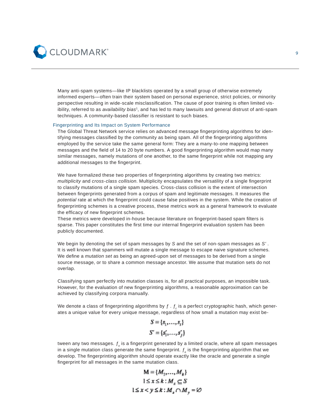

Many anti-spam systems—like IP blacklists operated by a small group of otherwise extremely informed experts—often train their system based on personal experience, strict policies, or minority perspective resulting in wide-scale misclassification. The cause of poor training is often limited visibility, referred to as *availability bias*<sup>1</sup>, and has led to many lawsuits and general distrust of anti-spam techniques. A community-based classifier is resistant to such biases.

## Fingerprinting and Its Impact on System Performance

The Global Threat Network service relies on advanced message fingerprinting algorithms for identifying messages classified by the community as being spam. All of the fingerprinting algorithms employed by the service take the same general form: They are a many-to-one mapping between messages and the field of 14 to 20 byte numbers. A good fingerprinting algorithm would map many similar messages, namely mutations of one another, to the same fingerprint while not mapping any additional messages to the fingerprint.

We have formalized these two properties of fingerprinting algorithms by creating two metrics: *multiplicity* and *cross-class collision*. Multiplicity encapsulates the versatility of a single fingerprint to classify mutations of a single spam species. Cross-class collision is the extent of intersection between fingerprints generated from a corpus of spam and legitimate messages. It measures the *potential* rate at which the fingerprint could cause false positives in the system. While the creation of fingerprinting schemes is a creative process, these metrics work as a general framework to evaluate the efficacy of new fingerprint schemes.

These metrics were developed in-house because literature on fingerprint-based spam filters is sparse. This paper constitutes the first time our internal fingerprint evaluation system has been publicly documented.

We begin by denoting the set of spam messages by *S* and the set of non-spam messages as *S'* . It is well known that spammers will mutate a single message to escape naive signature schemes. We define a *mutation set* as being an agreed-upon set of messages to be derived from a single source message, or to share a common message ancestor. We assume that mutation sets do not overlap.

Classifying spam perfectly into mutation classes is, for all practical purposes, an impossible task. However, for the evaluation of new fingerprinting algorithms, a reasonable approximation can be achieved by classifying corpora manually.

We denote a class of fingerprinting algorithms by  $f$  .  $f_c$  is a perfect cryptographic hash, which generates a unique value for every unique message, regardless of how small a mutation may exist be-

$$
S = \{s_1, \ldots, s_r\}
$$

$$
S' = \{s'_1, \ldots, s'_r\}
$$

tween any two messages.  $f_{o}$  is a fingerprint generated by a limited oracle, where all spam messages in a single mutation class generate the same fingerprint.  $f_e$  is the fingerprinting algorithm that we develop. The fingerprinting algorithm should operate exactly like the oracle and generate a single fingerprint for all messages in the same mutation class.

$$
M = \{M_1, \dots, M_k\}
$$
  

$$
1 \le x \le k : M_x \subseteq S
$$
  

$$
1 \le x < y \le k : M_x \cap M_y = \emptyset
$$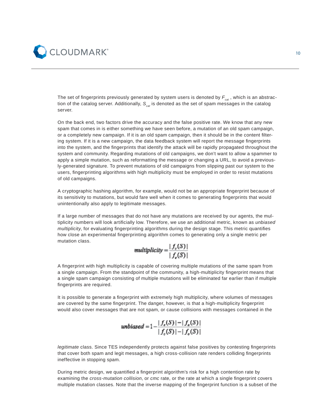

The set of fingerprints previously generated by system users is denoted by  $F_{cat}$ , which is an abstraction of the catalog server. Additionally, S<sub>cat</sub> is denoted as the set of spam messages in the catalog server.

On the back end, two factors drive the accuracy and the false positive rate. We know that any new spam that comes in is either something we have seen before, a mutation of an old spam campaign, or a completely new campaign. If it is an old spam campaign, then it should be in the content filtering system. If it is a new campaign, the data feedback system will report the message fingerprints into the system, and the fingerprints that identify the attack will be rapidly propagated throughout the system and community. Regarding mutations of old campaigns, we don't want to allow a spammer to apply a simple mutation, such as reformatting the message or changing a URL, to avoid a previously-generated signature. To prevent mutations of old campaigns from slipping past our system to the users, fingerprinting algorithms with high multiplicity must be employed in order to resist mutations of old campaigns.

A cryptographic hashing algorithm, for example, would not be an appropriate fingerprint because of its sensitivity to mutations, but would fare well when it comes to generating fingerprints that would unintentionally also apply to legitimate messages.

If a large number of messages that do not have any mutations are received by our agents, the multiplicity numbers will look artificially low. Therefore, we use an additional metric, known as *unbiased multiplicity*, for evaluating fingerprinting algorithms during the design stage. This metric quantifies how close an experimental fingerprinting algorithm comes to generating only a single metric per mutation class.

$$
multiplicity = \frac{|f_c(S)|}{|f_c(S)|}
$$

A fingerprint with high multiplicity is capable of covering multiple mutations of the same spam from a single campaign. From the standpoint of the community, a high-multiplicity fingerprint means that a single spam campaign consisting of multiple mutations will be eliminated far earlier than if multiple fingerprints are required.

It is possible to generate a fingerprint with extremely high multiplicity, where volumes of messages are covered by the same fingerprint. The danger, however, is that a high-multiplicity fingerprint would also cover messages that are not spam, or cause collisions with messages contained in the

*unbiased* = 
$$
1 - \frac{|f_e(S)| - |f_a(S)|}{|f_c(S)| - |f_a(S)|}
$$

*legitimate* class. Since TES independently protects against false positives by contesting fingerprints that cover both spam and legit messages, a high cross-collision rate renders colliding fingerprints ineffective in stopping spam.

During metric design, we quantified a fingerprint algorithm's risk for a high contention rate by examining the *cross-mutation collision*, or *cmc* rate, or the rate at which a single fingerprint covers multiple mutation classes. Note that the inverse mapping of the fingerprint function is a subset of the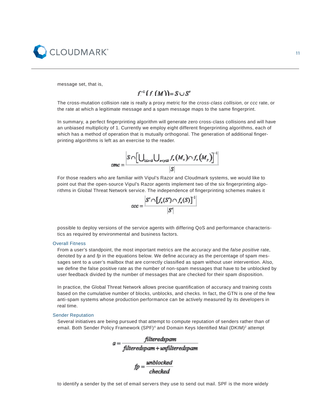

message set, that is,

# $f^{-1}(f(M)) = S \cup S'$

The cross-mutation collision rate is really a proxy metric for the *cross-class collision*, or *ccc* rate, or the rate at which a legitimate message and a spam message maps to the same fingerprint.

In summary, a perfect fingerprinting algorithm will generate zero cross-class collisions and will have an unbiased multiplicity of 1. Currently we employ eight different fingerprinting algorithms, each of which has a method of operation that is mutually orthogonal. The generation of additional fingerprinting algorithms is left as an exercise to the reader.

$$
cmc = \frac{S \cap \left[\bigcup_{1 \leq x \leq k} \bigcup_{x < y \leq k} f_{\epsilon}(M_x) \cap f_{\epsilon}(M_y)\right]^{-1}}{\left|S\right|}
$$

For those readers who are familiar with Vipul's Razor and Cloudmark systems, we would like to point out that the open-source Vipul's Razor agents implement two of the six fingerprinting algorithms in Global Threat Network service. The independence of fingerprinting schemes makes it



possible to deploy versions of the service agents with differing QoS and performance characteristics as required by environmental and business factors.

## Overall Fitness

From a user's standpoint, the most important metrics are the *accuracy* and the *false positive* rate, denoted by *a* and *fp* in the equations below. We define accuracy as the percentage of spam messages sent to a user's mailbox that are correctly classified as spam without user intervention. Also, we define the false positive rate as the number of non-spam messages that have to be unblocked by user feedback divided by the number of messages that are checked for their spam disposition.

In practice, the Global Threat Network allows precise quantification of accuracy and training costs based on the cumulative number of blocks, unblocks, and checks. In fact, the GTN is one of the few anti-spam systems whose production performance can be actively measured by its developers in real time.

# Sender Reputation

Several initiatives are being pursued that attempt to compute reputation of senders rather than of email. Both Sender Policy Framework (SPF)<sup>4</sup> and Domain Keys Identified Mail (DKIM)<sup>2</sup> attempt

$$
a = \frac{\text{filteredspam}}{\text{filteredspam} + \text{unfilteredspam}}
$$

 $fp = \frac{unblocked}{checked}$ 

to identify a sender by the set of email servers they use to send out mail. SPF is the more widely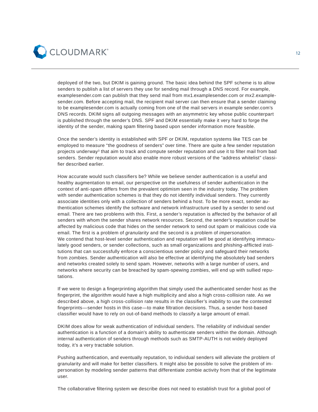

deployed of the two, but DKIM is gaining ground. The basic idea behind the SPF scheme is to allow senders to publish a list of servers they use for sending mail through a DNS record. For example, examplesender.com can publish that they send mail from mx1.examplesender.com or mx2.examplesender.com. Before accepting mail, the recipient mail server can then ensure that a sender claiming to be examplesender.com is actually coming from one of the mail servers in example sender.com's DNS records. DKIM signs all outgoing messages with an asymmetric key whose public counterpart is published through the sender's DNS. SPF and DKIM essentially make it very hard to forge the identity of the sender, making spam filtering based upon sender information more feasible.

Once the sender's identity is established with SPF or DKIM, reputation systems like TES can be employed to measure "the goodness of senders" over time. There are quite a few sender reputation projects underway<sup>3</sup> that aim to track and compute sender reputation and use it to filter mail from bad senders. Sender reputation would also enable more robust versions of the "address whitelist" classifier described earlier.

How accurate would such classifiers be? While we believe sender authentication is a useful and healthy augmentation to email, our perspective on the usefulness of sender authentication in the context of anti-spam differs from the prevalent optimism seen in the industry today. The problem with sender authentication schemes is that they do not identify individual senders. They currently associate identities only with a collection of senders behind a host. To be more exact, sender authentication schemes identify the software and network infrastructure used by a sender to send out email. There are two problems with this. First, a sender's reputation is affected by the behavior of all senders with whom the sender shares network resources. Second, the sender's reputation could be affected by malicious code that hides on the sender network to send out spam or malicious code via email. The first is a problem of *granularity* and the second is a problem of *impersonation*. We contend that host-level sender authentication and reputation will be good at identifying immaculately good senders, or sender collections, such as small organizations and phishing-afflicted institutions that can successfully enforce a conscientious sender policy and safeguard their networks from zombies. Sender authentication will also be effective at identifying the absolutely bad senders and networks created solely to send spam. However, networks with a large number of users, and networks where security can be breached by spam-spewing zombies, will end up with sullied reputations.

If we were to design a fingerprinting algorithm that simply used the authenticated sender host as the fingerprint, the algorithm would have a high multiplicity and also a high cross-collision rate. As we described above, a high cross-collision rate results in the classifier's inability to use the contested fingerprints—sender hosts in this case—to make filtration decisions. Thus, a sender host-based classifier would have to rely on out-of-band methods to classify a large amount of email.

DKIM does allow for weak authentication of individual senders. The reliability of individual sender authentication is a function of a domain's ability to authenticate senders within the domain. Although internal authentication of senders through methods such as SMTP-AUTH is not widely deployed today, it's a very tractable solution.

Pushing authentication, and eventually reputation, to individual senders will alleviate the problem of granularity and will make for better classifiers. It might also be possible to solve the problem of impersonation by modeling sender patterns that differentiate zombie activity from that of the legitimate user.

The collaborative filtering system we describe does not need to establish trust for a global pool of